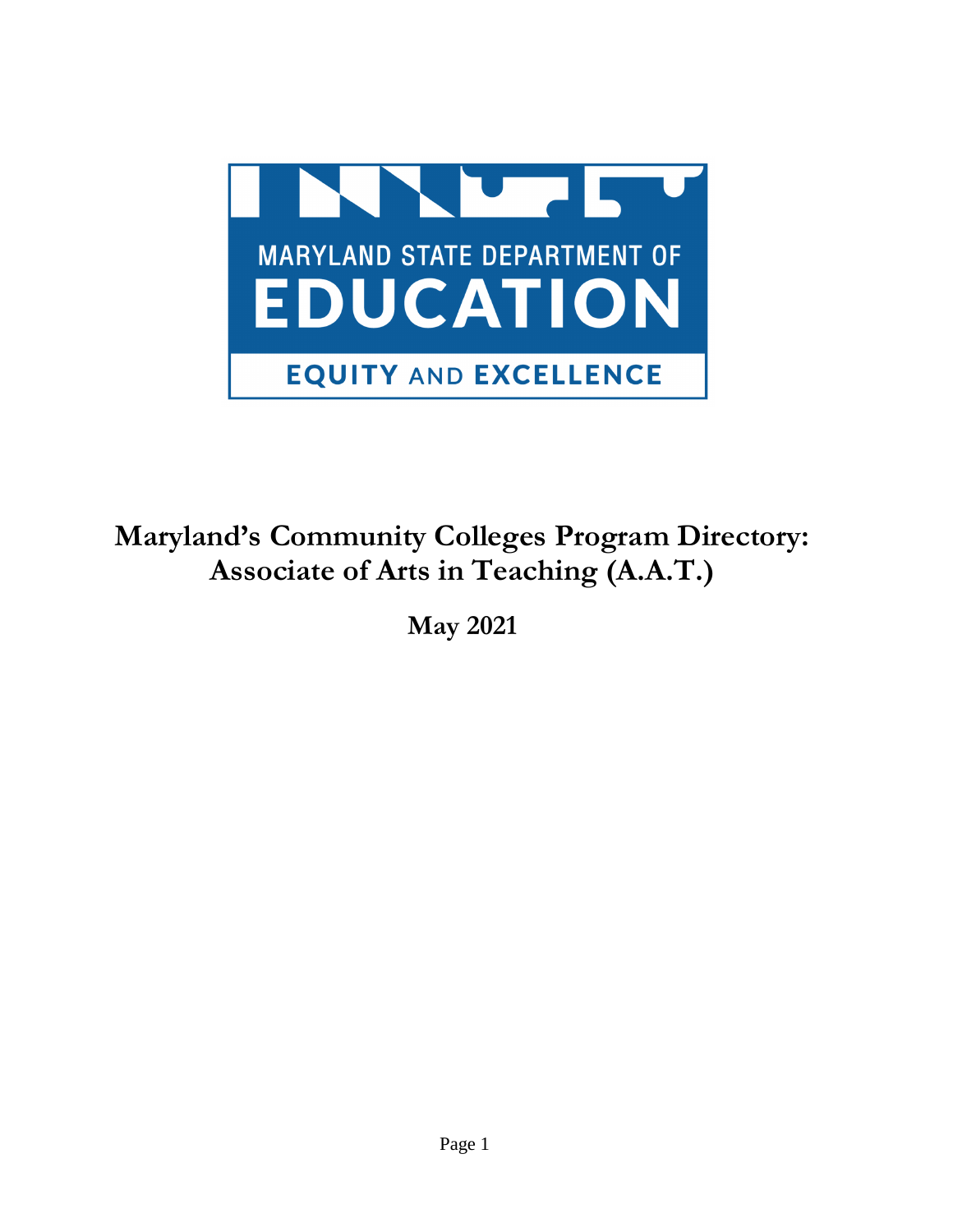

# **Maryland's Community Colleges Program Directory: Associate of Arts in Teaching (A.A.T.)**

**May 2021**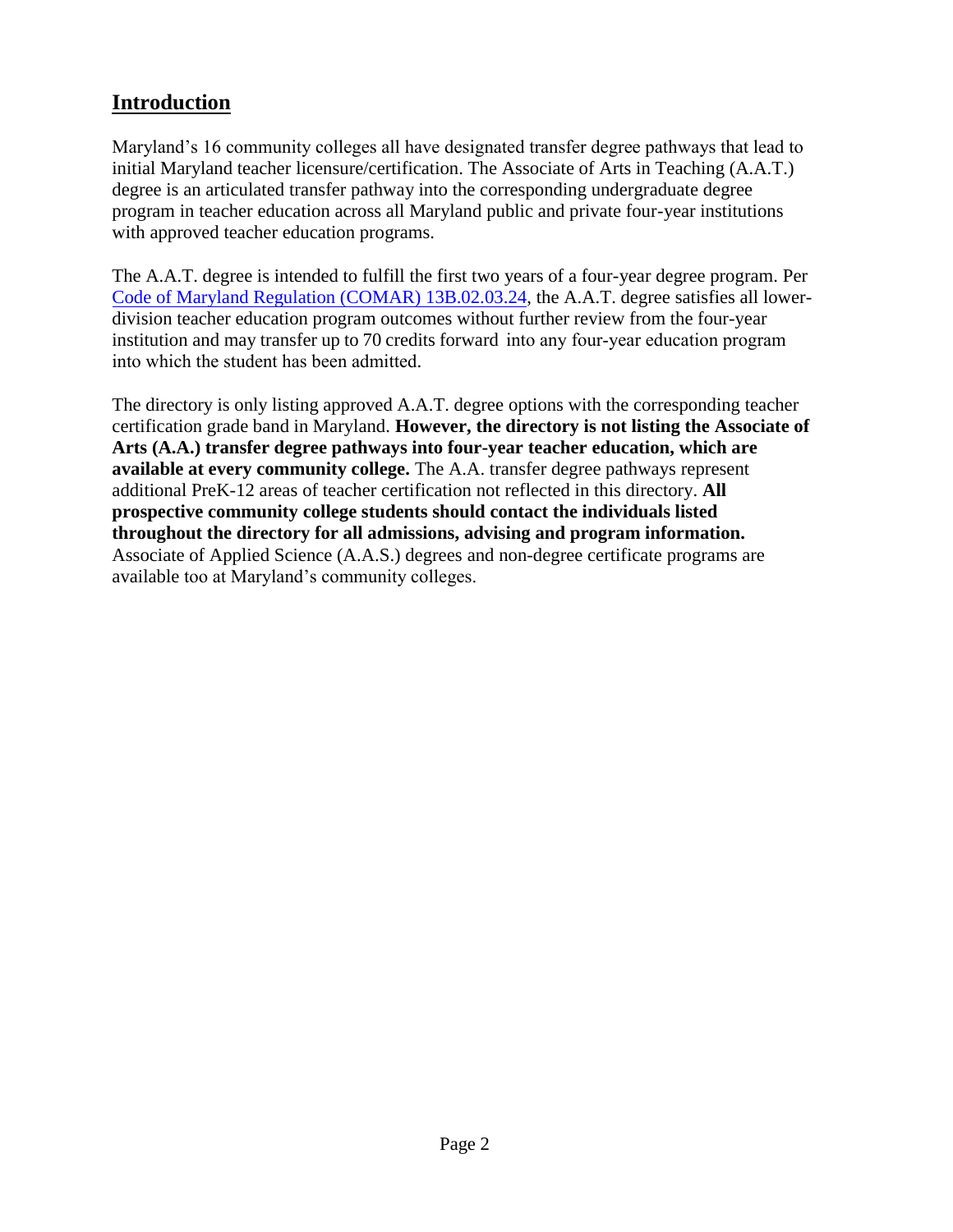# **Introduction**

Maryland's 16 community colleges all have designated transfer degree pathways that lead to initial Maryland teacher licensure/certification. The Associate of Arts in Teaching (A.A.T.) degree is an articulated transfer pathway into the corresponding undergraduate degree program in teacher education across all Maryland public and private four-year institutions with approved teacher education programs.

The A.A.T. degree is intended to fulfill the first two years of a four-year degree program. Per [Code of Maryland Regulation \(COMAR\) 13B.02.03.24,](http://www.dsd.state.md.us/comar/comarhtml/13b/13b.02.03.24.htm) the A.A.T. degree satisfies all lowerdivision teacher education program outcomes without further review from the four-year institution and may transfer up to 70 credits forward into any four-year education program into which the student has been admitted.

The directory is only listing approved A.A.T. degree options with the corresponding teacher certification grade band in Maryland. **However, the directory is not listing the Associate of Arts (A.A.) transfer degree pathways into four-year teacher education, which are available at every community college.** The A.A. transfer degree pathways represent additional PreK-12 areas of teacher certification not reflected in this directory. **All prospective community college students should contact the individuals listed throughout the directory for all admissions, advising and program information.**  Associate of Applied Science (A.A.S.) degrees and non-degree certificate programs are available too at Maryland's community colleges.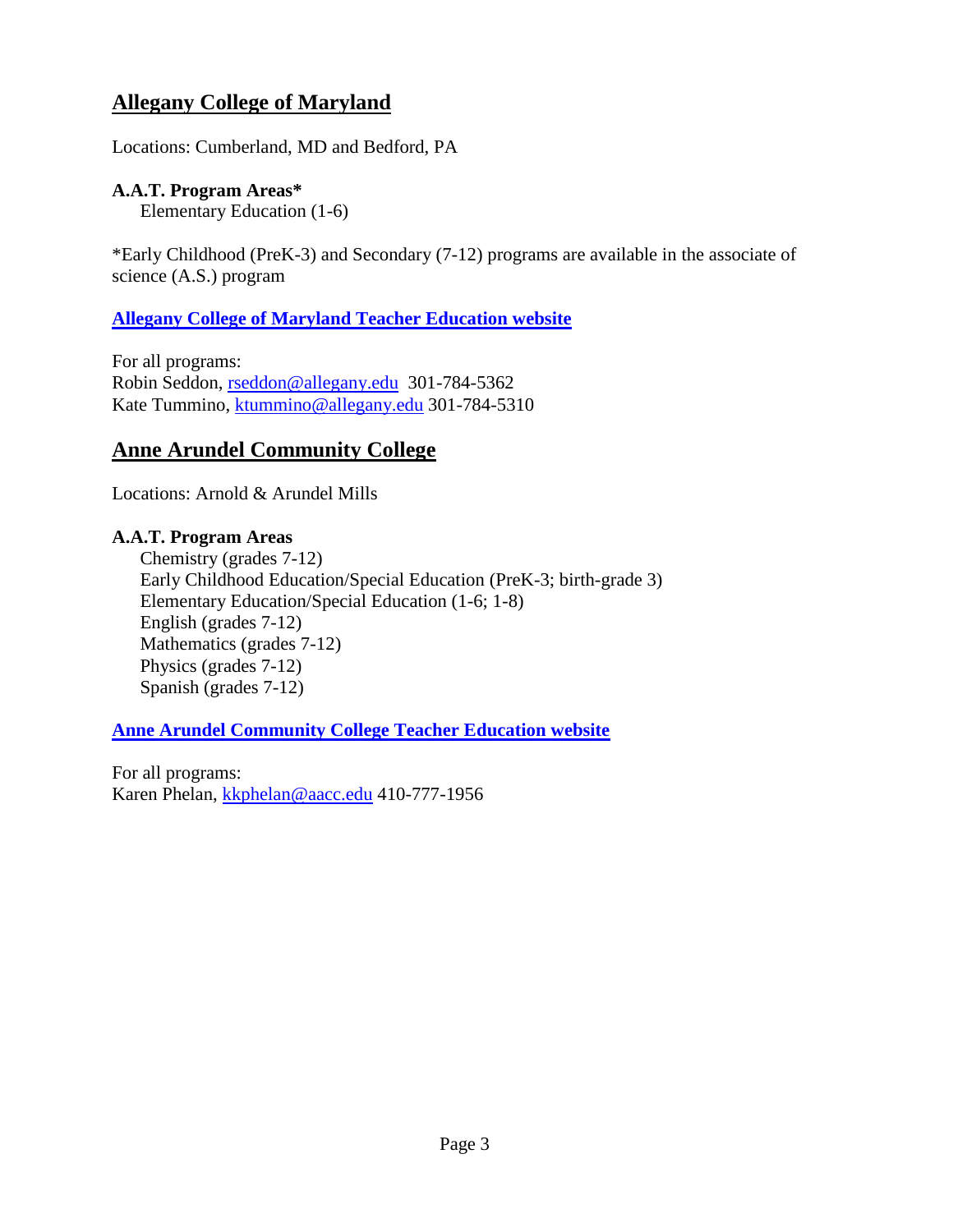# **Allegany College of Maryland**

Locations: Cumberland, MD and Bedford, PA

### **A.A.T. Program Areas\***

Elementary Education (1-6)

\*Early Childhood (PreK-3) and Secondary (7-12) programs are available in the associate of science (A.S.) program

### **[Allegany College of Maryland Teacher Education website](https://www.allegany.edu/teacher-education/)**

For all programs: Robin Seddon, [rseddon@allegany.edu](mailto:rseddon@allegany.edu) 301-784-5362 Kate Tummino, [ktummino@allegany.edu](mailto:ktummino@allegany.edu) 301-784-5310

# **Anne Arundel Community College**

Locations: Arnold & Arundel Mills

# **A.A.T. Program Areas**

Chemistry (grades 7-12) Early Childhood Education/Special Education (PreK-3; birth-grade 3) Elementary Education/Special Education (1-6; 1-8) English (grades 7-12) Mathematics (grades 7-12) Physics (grades 7-12) Spanish (grades 7-12)

### **[Anne Arundel Community College Teacher Education website](https://www.aacc.edu/programs-and-courses/credit-and-degree-seekers/education/)**

For all programs: Karen Phelan, [kkphelan@aacc.edu](mailto:kkphelan@aacc.edu) 410-777-1956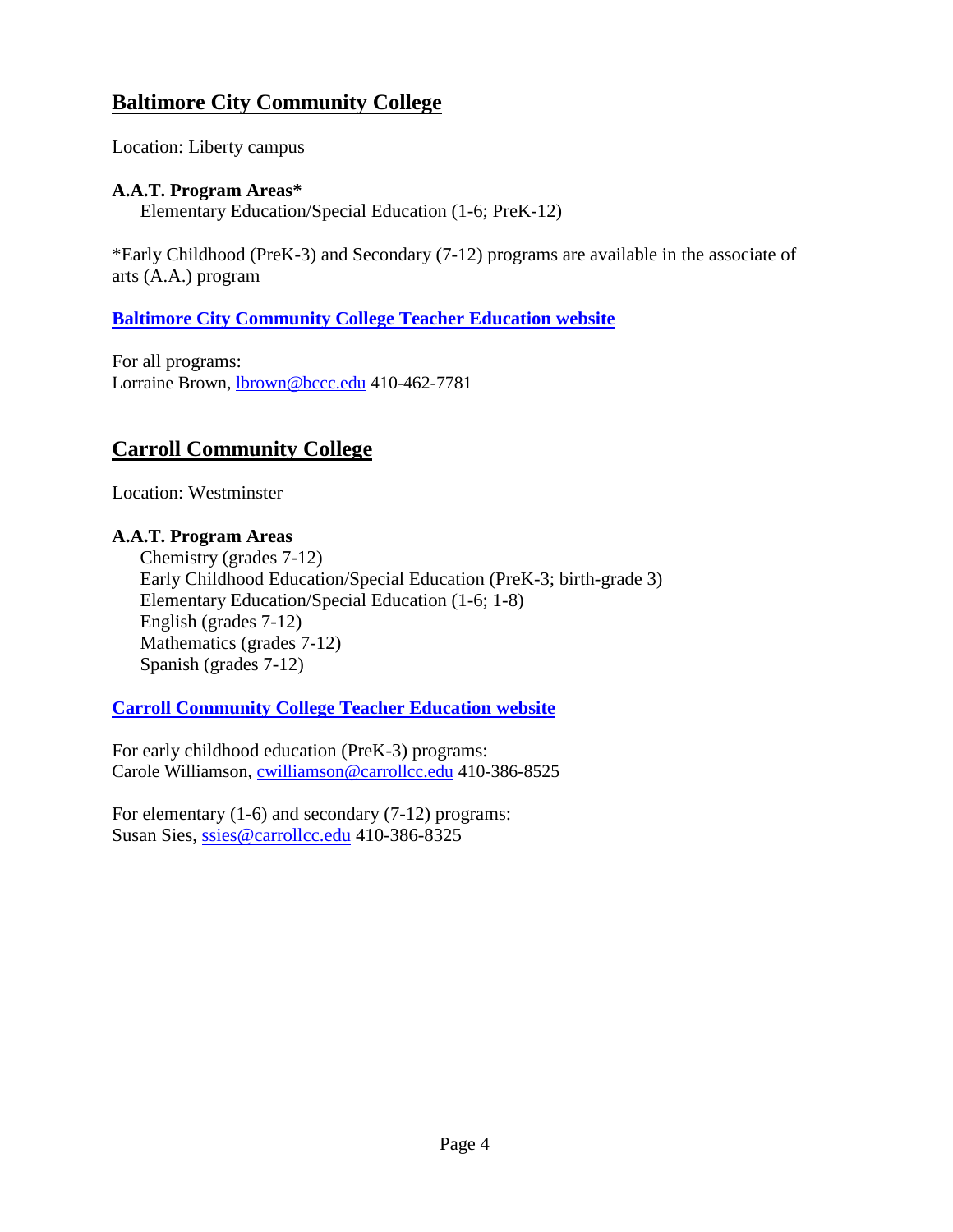# **Baltimore City Community College**

Location: Liberty campus

### **A.A.T. Program Areas\***

Elementary Education/Special Education (1-6; PreK-12)

\*Early Childhood (PreK-3) and Secondary (7-12) programs are available in the associate of arts (A.A.) program

# **[Baltimore City Community College Teacher Education website](https://www.bccc.edu/Domain/1092)**

For all programs: Lorraine Brown, **lbrown@bccc.edu** 410-462-7781

# **Carroll Community College**

Location: Westminster

#### **A.A.T. Program Areas**

Chemistry (grades 7-12) Early Childhood Education/Special Education (PreK-3; birth-grade 3) Elementary Education/Special Education (1-6; 1-8) English (grades 7-12) Mathematics (grades 7-12) Spanish (grades 7-12)

# **[Carroll Community College Teacher Education website](https://www.carrollcc.edu/Programs-and-Courses/Credit-Programs/Areas-Of-Study/Education/)**

For early childhood education (PreK-3) programs: Carole Williamson, [cwilliamson@carrollcc.edu](file:///C:/Users/msdeuser/Downloads/cwilliamson@carrollcc.edu) 410-386-8525

For elementary (1-6) and secondary (7-12) programs: Susan Sies, [ssies@carrollcc.edu](mailto:ssies@carrollcc.edu) 410-386-8325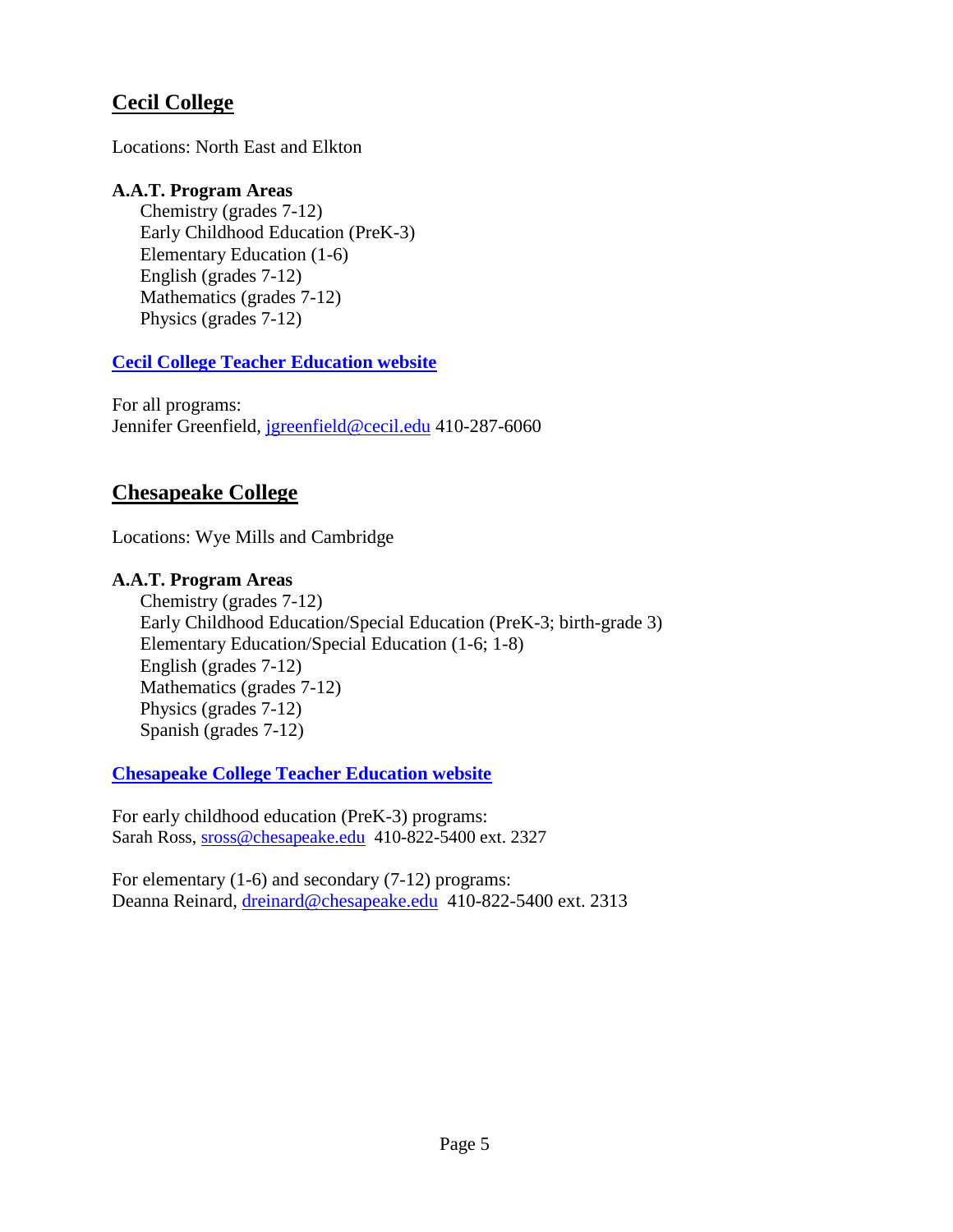# **Cecil College**

Locations: North East and Elkton

#### **A.A.T. Program Areas**

Chemistry (grades 7-12) Early Childhood Education (PreK-3) Elementary Education (1-6) English (grades 7-12) Mathematics (grades 7-12) Physics (grades 7-12)

#### **[Cecil College Teacher Education website](https://www.cecil.edu/programs-courses/academics/degrees-certificates/teacher-education)**

For all programs: Jennifer Greenfield, [jgreenfield@cecil.edu](mailto:jgreenfield@cecil.edu) 410-287-6060

# **Chesapeake College**

Locations: Wye Mills and Cambridge

#### **A.A.T. Program Areas**

Chemistry (grades 7-12) Early Childhood Education/Special Education (PreK-3; birth-grade 3) Elementary Education/Special Education (1-6; 1-8) English (grades 7-12) Mathematics (grades 7-12) Physics (grades 7-12) Spanish (grades 7-12)

**[Chesapeake College Teacher Education website](https://www.chesapeake.edu/pathways/education-child-development)**

For early childhood education (PreK-3) programs: Sarah Ross, [sross@chesapeake.edu](mailto:sross@chesapeake.edu) 410-822-5400 ext. 2327

For elementary (1-6) and secondary (7-12) programs: Deanna Reinard, [dreinard@chesapeake.edu](mailto:dreinard@chesapeake.edu) 410-822-5400 ext. 2313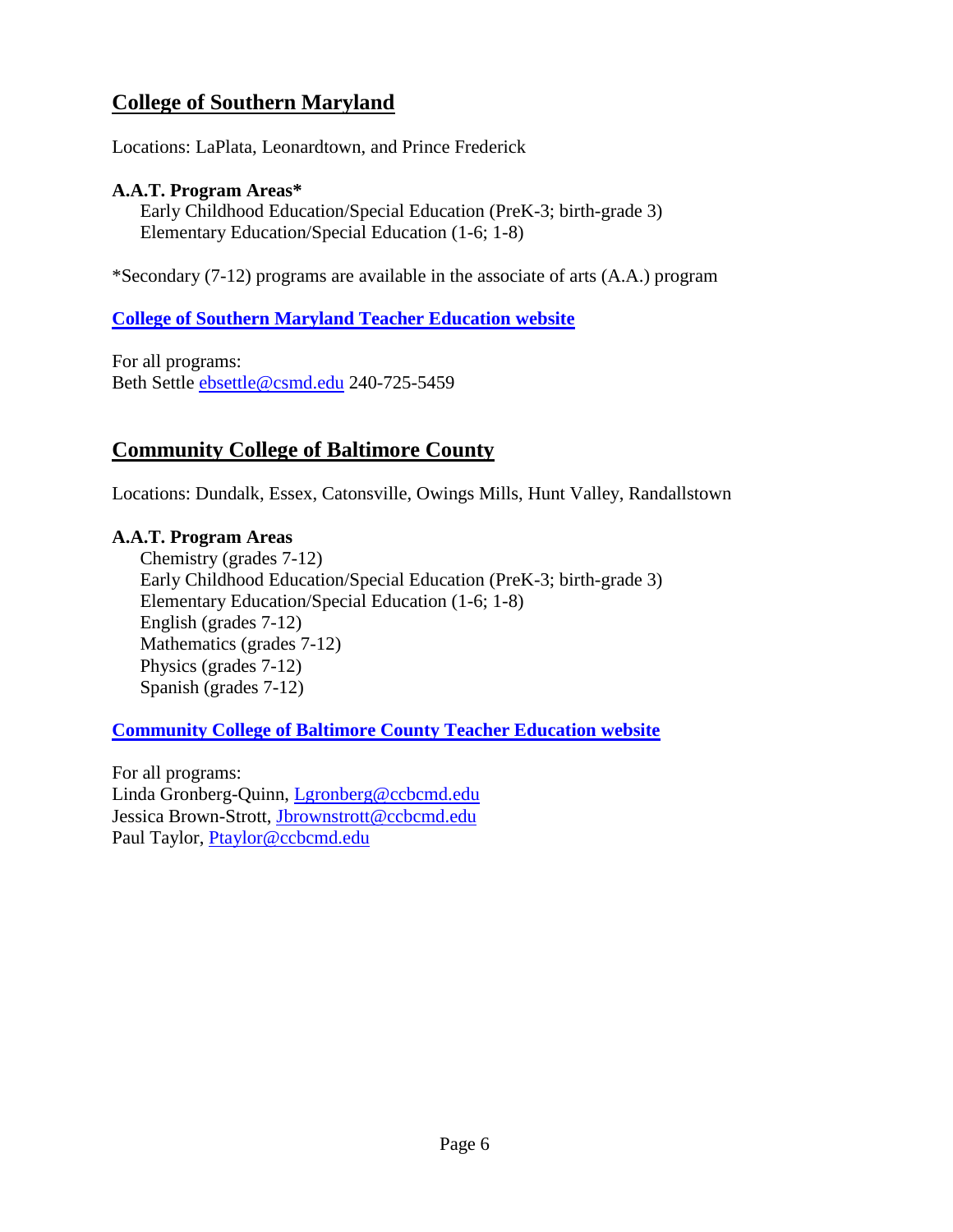# **College of Southern Maryland**

Locations: LaPlata, Leonardtown, and Prince Frederick

#### **A.A.T. Program Areas\***

Early Childhood Education/Special Education (PreK-3; birth-grade 3) Elementary Education/Special Education (1-6; 1-8)

\*Secondary (7-12) programs are available in the associate of arts (A.A.) program

#### **[College of Southern Maryland Teacher Education website](http://www.csmd.edu/teachered)**

For all programs: Beth Settle [ebsettle@csmd.edu](mailto:ebsettle@csmd.edu) 240-725-5459

### **Community College of Baltimore County**

Locations: Dundalk, Essex, Catonsville, Owings Mills, Hunt Valley, Randallstown

#### **A.A.T. Program Areas**

Chemistry (grades 7-12) Early Childhood Education/Special Education (PreK-3; birth-grade 3) Elementary Education/Special Education (1-6; 1-8) English (grades 7-12) Mathematics (grades 7-12) Physics (grades 7-12) Spanish (grades 7-12)

#### **[Community College of Baltimore County Teacher Education website](https://www.ccbcmd.edu/Programs-and-Courses/Schools-and-Academic-Departments/School-of-Wellness-Education-Behavioral-and-Social-Sciences/Teacher-Education.aspx)**

For all programs: Linda Gronberg-Quinn, [Lgronberg@ccbcmd.edu](mailto:lgronberg@ccbcmd.edu) Jessica Brown-Strott, [Jbrownstrott@ccbcmd.edu](mailto:jbrownstrott@ccbcmd.edu) Paul Taylor, [Ptaylor@ccbcmd.edu](mailto:Ptaylor@ccbcmd.edu)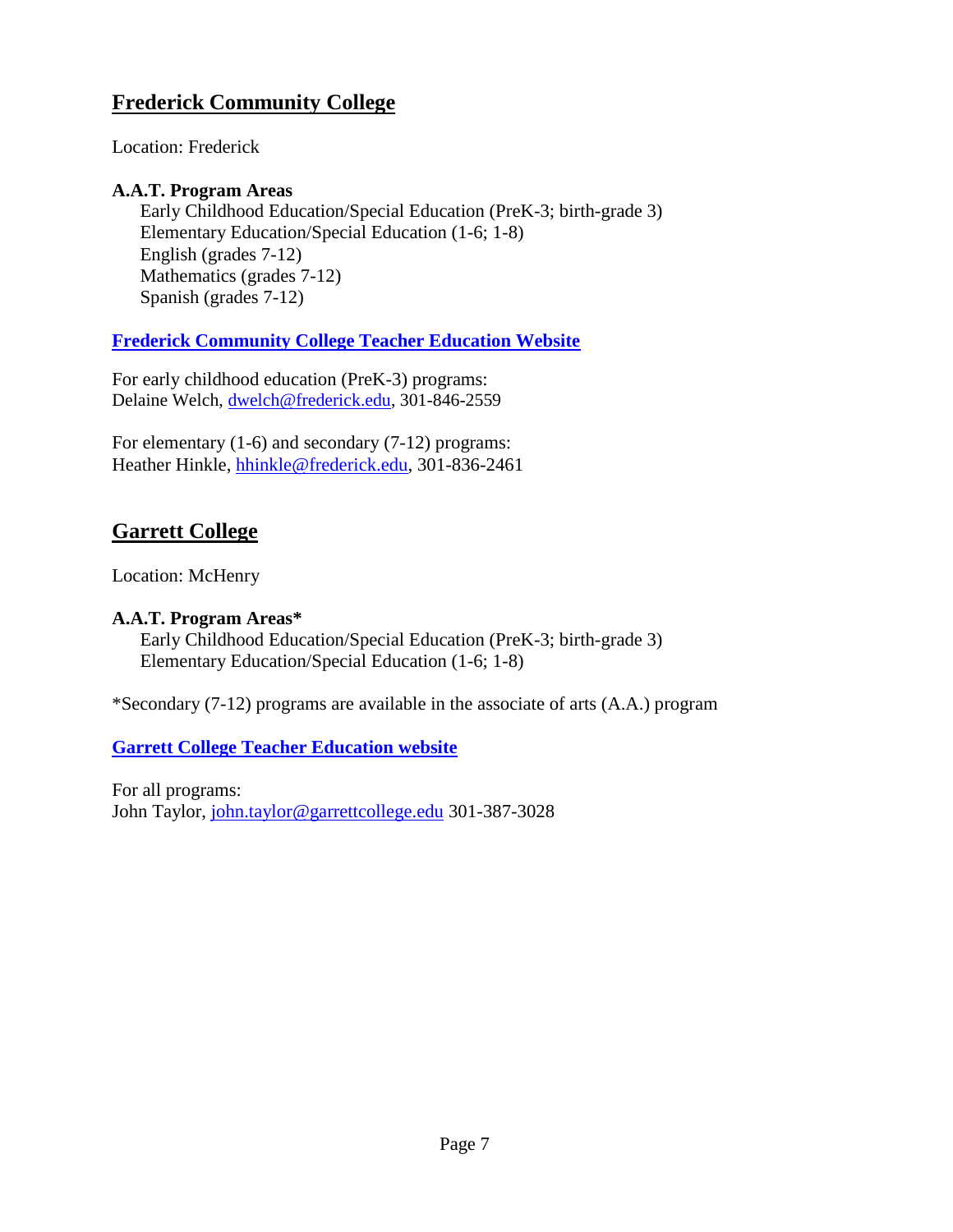# **Frederick Community College**

Location: Frederick

### **A.A.T. Program Areas**

Early Childhood Education/Special Education (PreK-3; birth-grade 3) Elementary Education/Special Education (1-6; 1-8) English (grades 7-12) Mathematics (grades 7-12) Spanish (grades 7-12)

### **[Frederick Community College Teacher Education Website](https://www.frederick.edu/programs/education-child-care.aspx)**

For early childhood education (PreK-3) programs: Delaine Welch, [dwelch@frederick.edu,](mailto:dwelch@frederick.edu) 301-846-2559

For elementary (1-6) and secondary (7-12) programs: Heather Hinkle, [hhinkle@frederick.edu,](mailto:hhinkle@frederick.edu) 301-836-2461

# **Garrett College**

Location: McHenry

#### **A.A.T. Program Areas\***

Early Childhood Education/Special Education (PreK-3; birth-grade 3) Elementary Education/Special Education (1-6; 1-8)

\*Secondary (7-12) programs are available in the associate of arts (A.A.) program

### **[Garrett College Teacher Education website](https://www.garrettcollege.edu/degrees-and-programs.php)**

For all programs: John Taylor, [john.taylor@garrettcollege.edu](mailto:john.taylor@garrettcollege.edu) 301-387-3028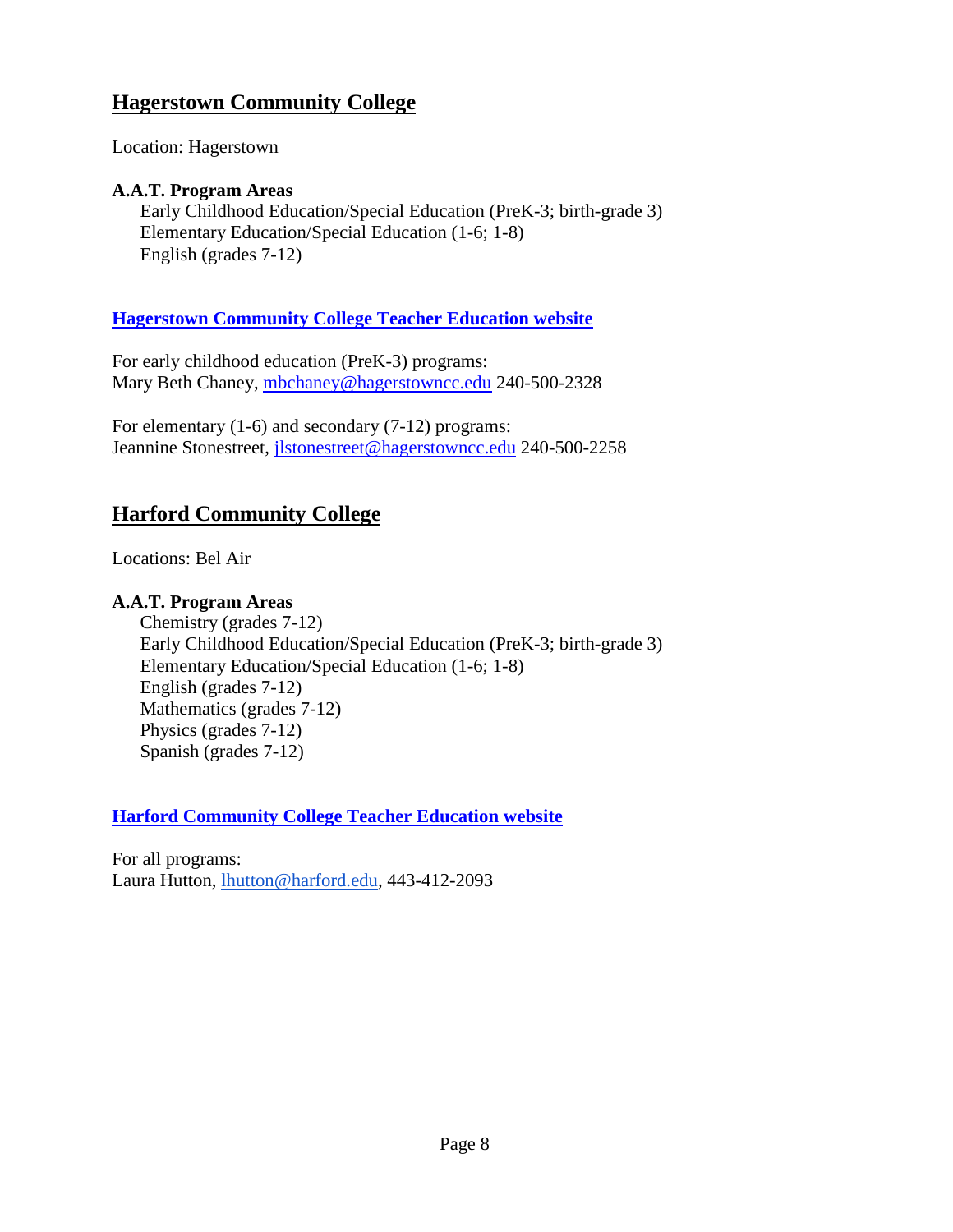# **Hagerstown Community College**

Location: Hagerstown

#### **A.A.T. Program Areas**

Early Childhood Education/Special Education (PreK-3; birth-grade 3) Elementary Education/Special Education (1-6; 1-8) English (grades 7-12)

### **[Hagerstown Community College Teacher Education website](https://www.hagerstowncc.edu/academics/divisions/bss/edu)**

For early childhood education (PreK-3) programs: Mary Beth Chaney, [mbchaney@hagerstowncc.edu](mailto:mbchaney@hagerstowncc.edu) 240-500-2328

For elementary (1-6) and secondary (7-12) programs: Jeannine Stonestreet, [jlstonestreet@hagerstowncc.edu](mailto:jlstonestreet@hagerstowncc.edu) 240-500-2258

# **Harford Community College**

Locations: Bel Air

### **A.A.T. Program Areas**

Chemistry (grades 7-12) Early Childhood Education/Special Education (PreK-3; birth-grade 3) Elementary Education/Special Education (1-6; 1-8) English (grades 7-12) Mathematics (grades 7-12) Physics (grades 7-12) Spanish (grades 7-12)

**[Harford Community College Teacher Education website](https://www.harford.edu/academics/programs-courses/education.php)**

For all programs: Laura Hutton, [lhutton@harford.edu,](mailto:lhutton@harford.edu) 443-412-2093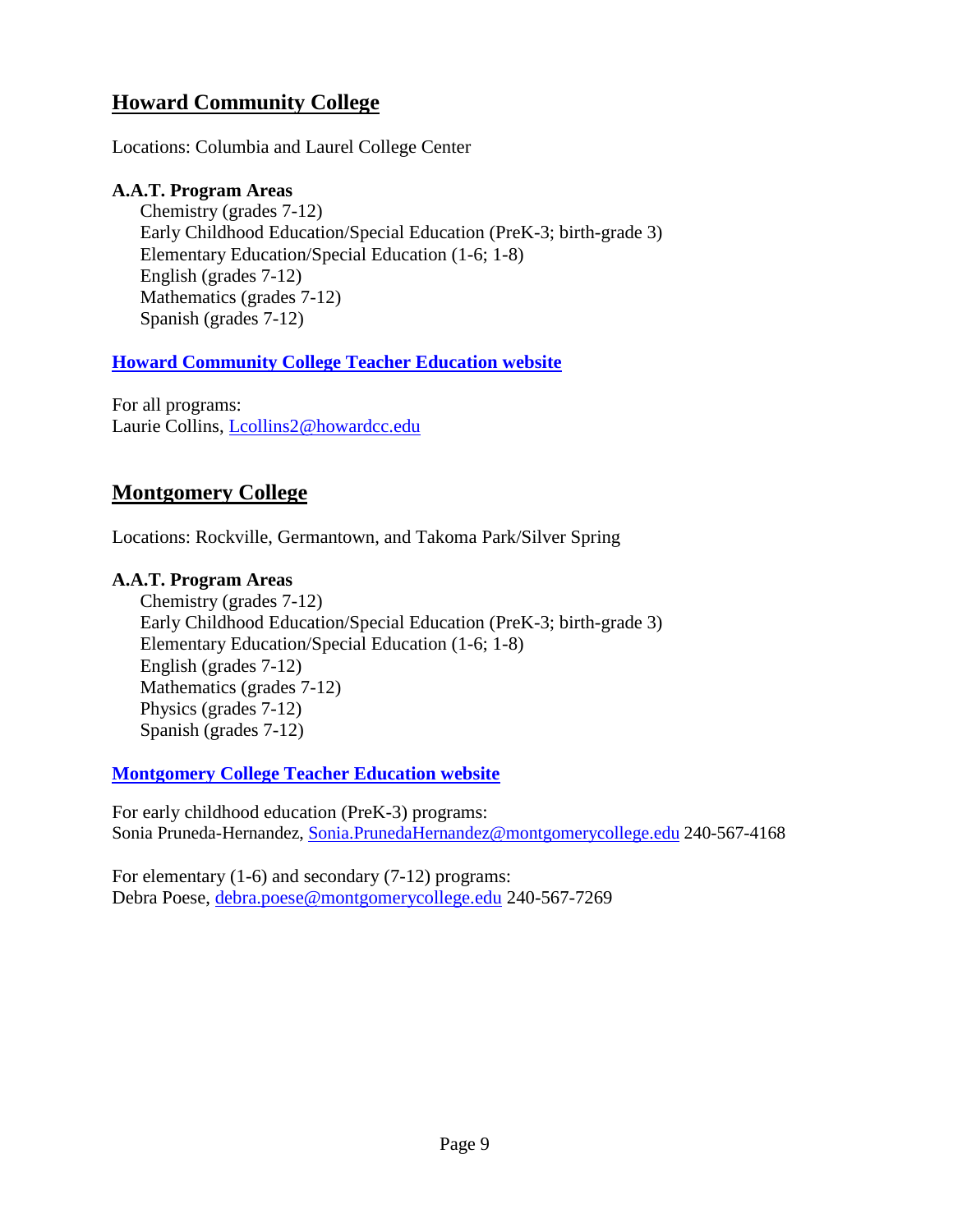# **Howard Community College**

Locations: Columbia and Laurel College Center

#### **A.A.T. Program Areas**

Chemistry (grades 7-12) Early Childhood Education/Special Education (PreK-3; birth-grade 3) Elementary Education/Special Education (1-6; 1-8) English (grades 7-12) Mathematics (grades 7-12) Spanish (grades 7-12)

### **[Howard Community College Teacher Education website](https://www.howardcc.edu/programs-courses/academics/academic-divisions/social-sciences-teacher-education/teacher-education/)**

For all programs: Laurie Collins, [Lcollins2@howardcc.edu](mailto:Lcollins2@howardcc.edu)

# **Montgomery College**

Locations: Rockville, Germantown, and Takoma Park/Silver Spring

#### **A.A.T. Program Areas**

Chemistry (grades 7-12) Early Childhood Education/Special Education (PreK-3; birth-grade 3) Elementary Education/Special Education (1-6; 1-8) English (grades 7-12) Mathematics (grades 7-12) Physics (grades 7-12) Spanish (grades 7-12)

**[Montgomery College Teacher Education website](https://www.montgomerycollege.edu/academics/programs/education/index.html)**

For early childhood education (PreK-3) programs: Sonia Pruneda-Hernandez, [Sonia.PrunedaHernandez@montgomerycollege.edu](mailto:Sonia.PrunedaHernandez@montgomerycollege.edu) 240-567-4168

For elementary (1-6) and secondary (7-12) programs: Debra Poese, [debra.poese@montgomerycollege.edu](mailto:debra.poese@montgomerycollege.edu) 240-567-7269